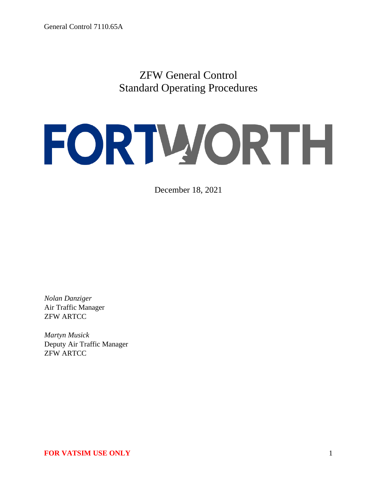# ZFW General Control Standard Operating Procedures

# FORTWORTH

December 18, 2021

*Nolan Danziger* Air Traffic Manager ZFW ARTCC

*Martyn Musick* Deputy Air Traffic Manager ZFW ARTCC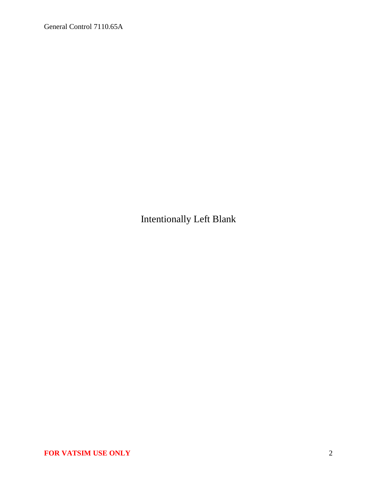General Control 7110.65A

Intentionally Left Blank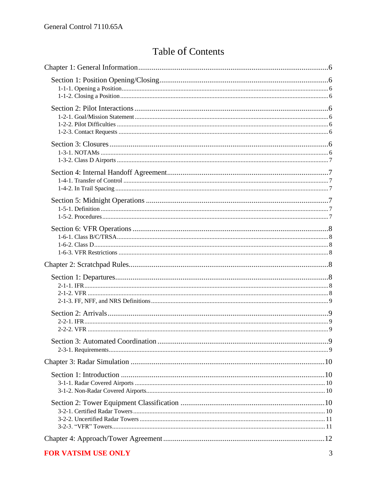# **Table of Contents**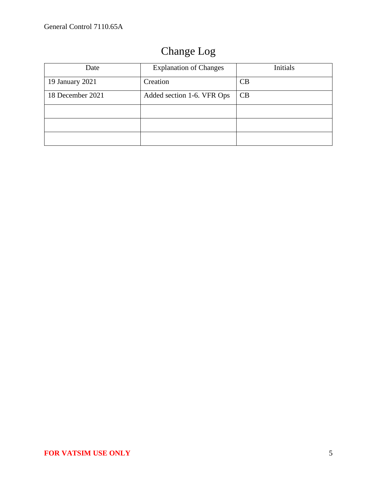# Change Log

| Date             | <b>Explanation of Changes</b> | <b>Initials</b> |
|------------------|-------------------------------|-----------------|
| 19 January 2021  | Creation                      | CB              |
| 18 December 2021 | Added section 1-6. VFR Ops    | CB              |
|                  |                               |                 |
|                  |                               |                 |
|                  |                               |                 |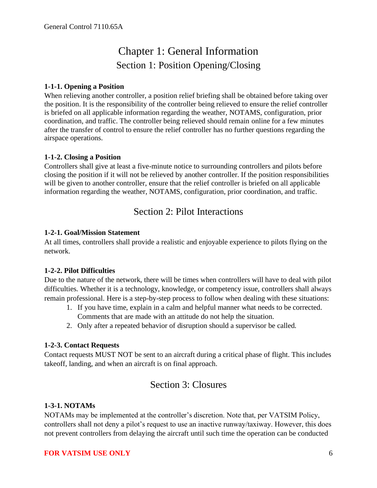# Chapter 1: General Information Section 1: Position Opening/Closing

## <span id="page-5-2"></span><span id="page-5-1"></span><span id="page-5-0"></span>**1-1-1. Opening a Position**

When relieving another controller, a position relief briefing shall be obtained before taking over the position. It is the responsibility of the controller being relieved to ensure the relief controller is briefed on all applicable information regarding the weather, NOTAMS, configuration, prior coordination, and traffic. The controller being relieved should remain online for a few minutes after the transfer of control to ensure the relief controller has no further questions regarding the airspace operations.

## <span id="page-5-3"></span>**1-1-2. Closing a Position**

Controllers shall give at least a five-minute notice to surrounding controllers and pilots before closing the position if it will not be relieved by another controller. If the position responsibilities will be given to another controller, ensure that the relief controller is briefed on all applicable information regarding the weather, NOTAMS, configuration, prior coordination, and traffic.

## Section 2: Pilot Interactions

## <span id="page-5-5"></span><span id="page-5-4"></span>**1-2-1. Goal/Mission Statement**

At all times, controllers shall provide a realistic and enjoyable experience to pilots flying on the network.

## <span id="page-5-6"></span>**1-2-2. Pilot Difficulties**

Due to the nature of the network, there will be times when controllers will have to deal with pilot difficulties. Whether it is a technology, knowledge, or competency issue, controllers shall always remain professional. Here is a step-by-step process to follow when dealing with these situations:

- 1. If you have time, explain in a calm and helpful manner what needs to be corrected. Comments that are made with an attitude do not help the situation.
- 2. Only after a repeated behavior of disruption should a supervisor be called.

## <span id="page-5-7"></span>**1-2-3. Contact Requests**

Contact requests MUST NOT be sent to an aircraft during a critical phase of flight. This includes takeoff, landing, and when an aircraft is on final approach.

## Section 3: Closures

## <span id="page-5-9"></span><span id="page-5-8"></span>**1-3-1. NOTAMs**

NOTAMs may be implemented at the controller's discretion. Note that, per VATSIM Policy, controllers shall not deny a pilot's request to use an inactive runway/taxiway. However, this does not prevent controllers from delaying the aircraft until such time the operation can be conducted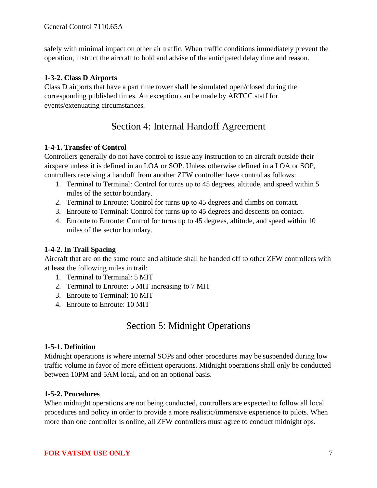safely with minimal impact on other air traffic. When traffic conditions immediately prevent the operation, instruct the aircraft to hold and advise of the anticipated delay time and reason.

## <span id="page-6-0"></span>**1-3-2. Class D Airports**

Class D airports that have a part time tower shall be simulated open/closed during the corresponding published times. An exception can be made by ARTCC staff for events/extenuating circumstances.

## Section 4: Internal Handoff Agreement

## <span id="page-6-2"></span><span id="page-6-1"></span>**1-4-1. Transfer of Control**

Controllers generally do not have control to issue any instruction to an aircraft outside their airspace unless it is defined in an LOA or SOP. Unless otherwise defined in a LOA or SOP, controllers receiving a handoff from another ZFW controller have control as follows:

- 1. Terminal to Terminal: Control for turns up to 45 degrees, altitude, and speed within 5 miles of the sector boundary.
- 2. Terminal to Enroute: Control for turns up to 45 degrees and climbs on contact.
- 3. Enroute to Terminal: Control for turns up to 45 degrees and descents on contact.
- 4. Enroute to Enroute: Control for turns up to 45 degrees, altitude, and speed within 10 miles of the sector boundary.

## <span id="page-6-3"></span>**1-4-2. In Trail Spacing**

Aircraft that are on the same route and altitude shall be handed off to other ZFW controllers with at least the following miles in trail:

- 1. Terminal to Terminal: 5 MIT
- 2. Terminal to Enroute: 5 MIT increasing to 7 MIT
- 3. Enroute to Terminal: 10 MIT
- <span id="page-6-4"></span>4. Enroute to Enroute: 10 MIT

## Section 5: Midnight Operations

## <span id="page-6-5"></span>**1-5-1. Definition**

Midnight operations is where internal SOPs and other procedures may be suspended during low traffic volume in favor of more efficient operations. Midnight operations shall only be conducted between 10PM and 5AM local, and on an optional basis.

## <span id="page-6-6"></span>**1-5-2. Procedures**

When midnight operations are not being conducted, controllers are expected to follow all local procedures and policy in order to provide a more realistic/immersive experience to pilots. When more than one controller is online, all ZFW controllers must agree to conduct midnight ops.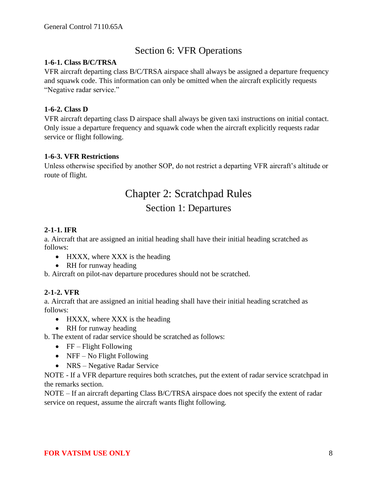## Section 6: VFR Operations

#### <span id="page-7-1"></span><span id="page-7-0"></span>**1-6-1. Class B/C/TRSA**

VFR aircraft departing class B/C/TRSA airspace shall always be assigned a departure frequency and squawk code. This information can only be omitted when the aircraft explicitly requests "Negative radar service."

#### <span id="page-7-2"></span>**1-6-2. Class D**

VFR aircraft departing class D airspace shall always be given taxi instructions on initial contact. Only issue a departure frequency and squawk code when the aircraft explicitly requests radar service or flight following.

#### <span id="page-7-3"></span>**1-6-3. VFR Restrictions**

<span id="page-7-4"></span>Unless otherwise specified by another SOP, do not restrict a departing VFR aircraft's altitude or route of flight.

## Chapter 2: Scratchpad Rules Section 1: Departures

## <span id="page-7-6"></span><span id="page-7-5"></span>**2-1-1. IFR**

a. Aircraft that are assigned an initial heading shall have their initial heading scratched as follows:

- HXXX, where XXX is the heading
- RH for runway heading

b. Aircraft on pilot-nav departure procedures should not be scratched.

## <span id="page-7-7"></span>**2-1-2. VFR**

a. Aircraft that are assigned an initial heading shall have their initial heading scratched as follows:

- HXXX, where XXX is the heading
- RH for runway heading

b. The extent of radar service should be scratched as follows:

- $FF Flight Following$
- NFF No Flight Following
- NRS Negative Radar Service

NOTE - If a VFR departure requires both scratches, put the extent of radar service scratchpad in the remarks section.

NOTE – If an aircraft departing Class B/C/TRSA airspace does not specify the extent of radar service on request, assume the aircraft wants flight following.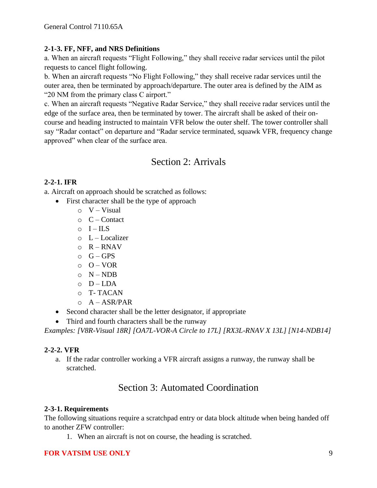## <span id="page-8-0"></span>**2-1-3. FF, NFF, and NRS Definitions**

a. When an aircraft requests "Flight Following," they shall receive radar services until the pilot requests to cancel flight following.

b. When an aircraft requests "No Flight Following," they shall receive radar services until the outer area, then be terminated by approach/departure. The outer area is defined by the AIM as "20 NM from the primary class C airport."

c. When an aircraft requests "Negative Radar Service," they shall receive radar services until the edge of the surface area, then be terminated by tower. The aircraft shall be asked of their oncourse and heading instructed to maintain VFR below the outer shelf. The tower controller shall say "Radar contact" on departure and "Radar service terminated, squawk VFR, frequency change approved" when clear of the surface area.

## Section 2: Arrivals

## <span id="page-8-2"></span><span id="page-8-1"></span>**2-2-1. IFR**

a. Aircraft on approach should be scratched as follows:

• First character shall be the type of approach

- $\circ$  V Visual
- $\circ$  C Contact
- $O \quad I ILS$
- $O L Localizer$
- $O$   $R RNAV$
- $O$  G GPS
- $O VOR$
- o N NDB
- $O$  D LDA
- o T- TACAN
- $O \quad A ASR/PAR$
- Second character shall be the letter designator, if appropriate
- Third and fourth characters shall be the runway

*Examples: [V8R-Visual 18R] [OA7L-VOR-A Circle to 17L] [RX3L-RNAV X 13L] [N14-NDB14]*

## <span id="page-8-3"></span>**2-2-2. VFR**

a. If the radar controller working a VFR aircraft assigns a runway, the runway shall be scratched.

## Section 3: Automated Coordination

## <span id="page-8-5"></span><span id="page-8-4"></span>**2-3-1. Requirements**

The following situations require a scratchpad entry or data block altitude when being handed off to another ZFW controller:

1. When an aircraft is not on course, the heading is scratched.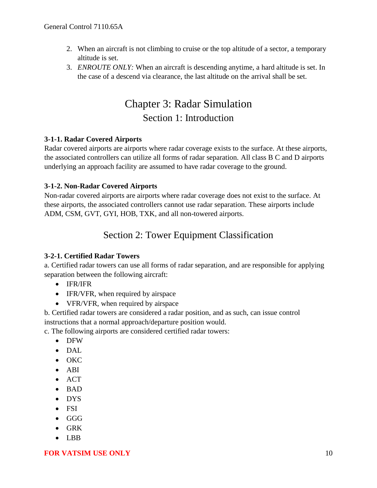- 2. When an aircraft is not climbing to cruise or the top altitude of a sector, a temporary altitude is set.
- <span id="page-9-0"></span>3. *ENROUTE ONLY:* When an aircraft is descending anytime, a hard altitude is set. In the case of a descend via clearance, the last altitude on the arrival shall be set.

# Chapter 3: Radar Simulation Section 1: Introduction

## <span id="page-9-2"></span><span id="page-9-1"></span>**3-1-1. Radar Covered Airports**

Radar covered airports are airports where radar coverage exists to the surface. At these airports, the associated controllers can utilize all forms of radar separation. All class B C and D airports underlying an approach facility are assumed to have radar coverage to the ground.

## <span id="page-9-3"></span>**3-1-2. Non-Radar Covered Airports**

Non-radar covered airports are airports where radar coverage does not exist to the surface. At these airports, the associated controllers cannot use radar separation. These airports include ADM, CSM, GVT, GYI, HOB, TXK, and all non-towered airports.

## Section 2: Tower Equipment Classification

## <span id="page-9-5"></span><span id="page-9-4"></span>**3-2-1. Certified Radar Towers**

a. Certified radar towers can use all forms of radar separation, and are responsible for applying separation between the following aircraft:

- IFR/IFR
- IFR/VFR, when required by airspace
- VFR/VFR, when required by airspace

b. Certified radar towers are considered a radar position, and as such, can issue control instructions that a normal approach/departure position would.

c. The following airports are considered certified radar towers:

- DFW
- DAL
- OKC
- ABI
- ACT
- BAD
- DYS
- FSI
- GGG
- GRK
- LBB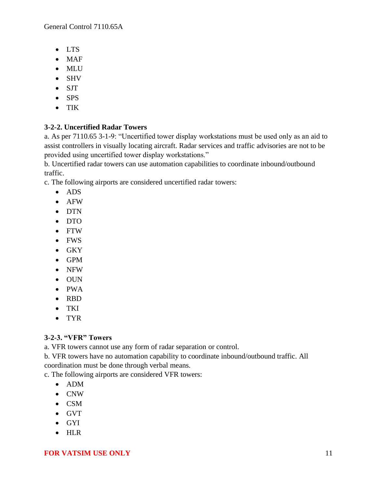General Control 7110.65A

- LTS
- MAF
- MLU
- SHV
- SJT
- SPS
- TIK

## <span id="page-10-0"></span>**3-2-2. Uncertified Radar Towers**

a. As per 7110.65 3-1-9: "Uncertified tower display workstations must be used only as an aid to assist controllers in visually locating aircraft. Radar services and traffic advisories are not to be provided using uncertified tower display workstations."

b. Uncertified radar towers can use automation capabilities to coordinate inbound/outbound traffic.

c. The following airports are considered uncertified radar towers:

- ADS
- AFW
- DTN
- DTO
- FTW
- FWS
- GKY
- GPM
- NFW
- OUN
- PWA
- RBD
- TKI
- TYR

## <span id="page-10-1"></span>**3-2-3. "VFR" Towers**

a. VFR towers cannot use any form of radar separation or control.

b. VFR towers have no automation capability to coordinate inbound/outbound traffic. All

coordination must be done through verbal means.

c. The following airports are considered VFR towers:

- ADM
- CNW
- CSM
- GVT
- GYI
- HLR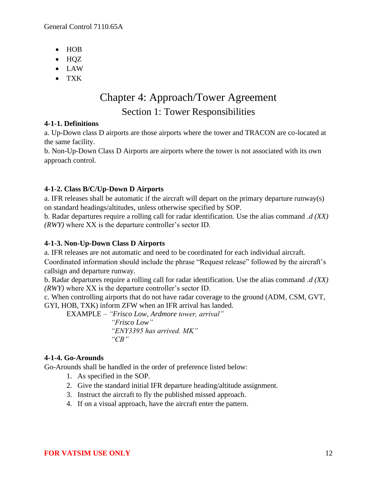- HOB
- HQZ
- LAW
- <span id="page-11-0"></span>• TXK

# Chapter 4: Approach/Tower Agreement Section 1: Tower Responsibilities

## <span id="page-11-2"></span><span id="page-11-1"></span>**4-1-1. Definitions**

a. Up-Down class D airports are those airports where the tower and TRACON are co-located at the same facility.

b. Non-Up-Down Class D Airports are airports where the tower is not associated with its own approach control.

## <span id="page-11-3"></span>**4-1-2. Class B/C/Up-Down D Airports**

a. IFR releases shall be automatic if the aircraft will depart on the primary departure runway(s) on standard headings/altitudes, unless otherwise specified by SOP.

b. Radar departures require a rolling call for radar identification. Use the alias command *.d (XX) (RWY)* where XX is the departure controller's sector ID.

## <span id="page-11-4"></span>**4-1-3. Non-Up-Down Class D Airports**

a. IFR releases are not automatic and need to be coordinated for each individual aircraft. Coordinated information should include the phrase "Request release" followed by the aircraft's callsign and departure runway.

b. Radar departures require a rolling call for radar identification. Use the alias command *.d (XX) (RWY)* where XX is the departure controller's sector ID.

c. When controlling airports that do not have radar coverage to the ground (ADM, CSM, GVT, GYI, HOB, TXK) inform ZFW when an IFR arrival has landed.

EXAMPLE – *"Frisco Low, Ardmore tower, arrival" "Frisco Low" "ENY3395 has arrived. MK" "CB"*

## <span id="page-11-5"></span>**4-1-4. Go-Arounds**

Go-Arounds shall be handled in the order of preference listed below:

- 1. As specified in the SOP.
- 2. Give the standard initial IFR departure heading/altitude assignment.
- 3. Instruct the aircraft to fly the published missed approach.
- 4. If on a visual approach, have the aircraft enter the pattern.